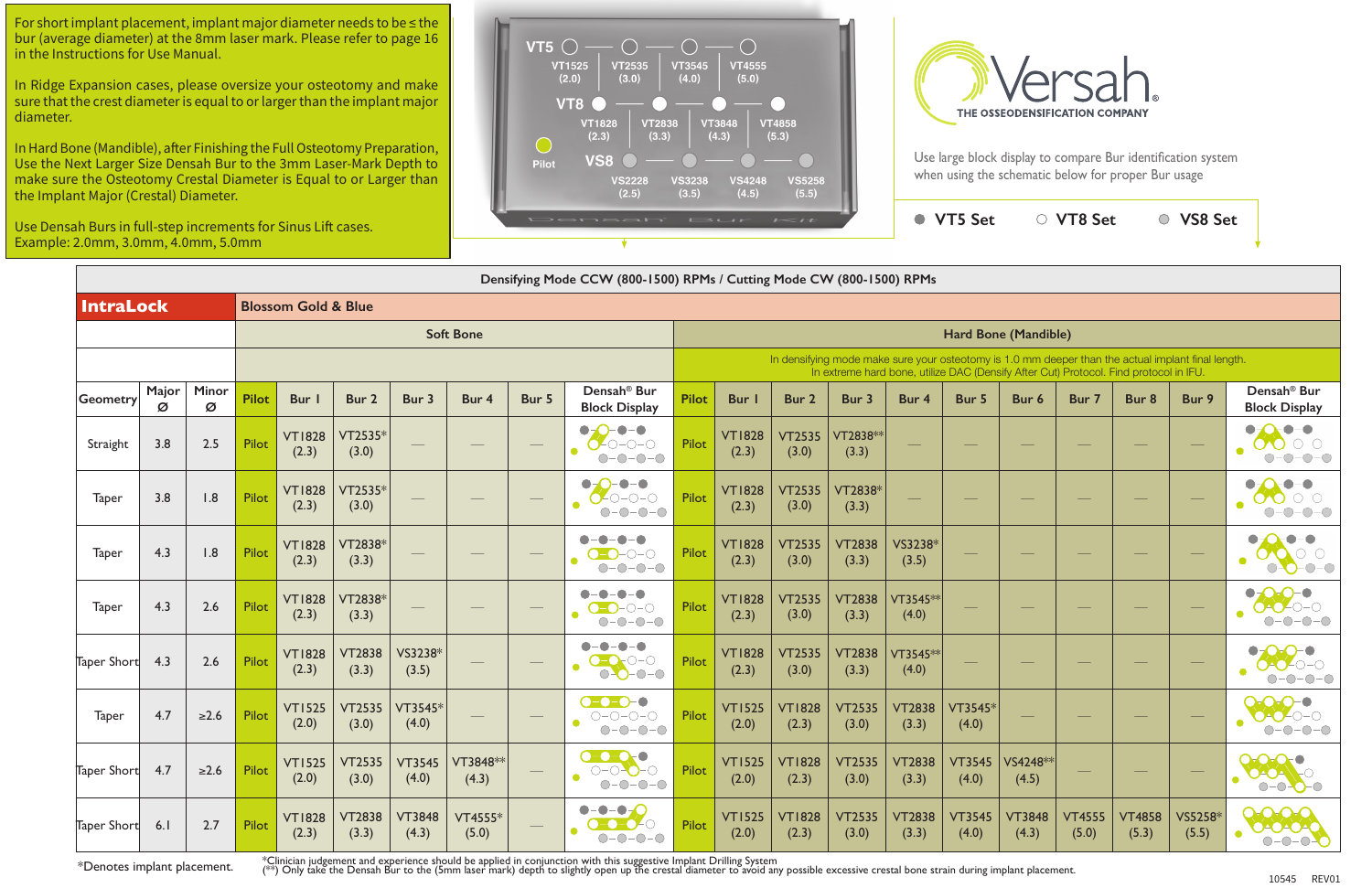| ah Burs in full-step increments for Sinus Lift cases.<br>2.0mm, 3.0mm, 4.0mm, 5.0mm |            |            |              |                                |                        |                        |                    |                                  | Densah                                                                                              |                                                                                                                                                                                             | $\mathbf{1}$ $\mathbf{3}$ $\mathbf{1}$ | $I \leq I$             |                        |                        | ● VT5 Set              |                                   | ○ VT8 Set              |                        | ○ VS8 Set                                                                                                                                                                                                                                                                                                                                                                                                                                                                  |                                                                                 |  |  |  |
|-------------------------------------------------------------------------------------|------------|------------|--------------|--------------------------------|------------------------|------------------------|--------------------|----------------------------------|-----------------------------------------------------------------------------------------------------|---------------------------------------------------------------------------------------------------------------------------------------------------------------------------------------------|----------------------------------------|------------------------|------------------------|------------------------|------------------------|-----------------------------------|------------------------|------------------------|----------------------------------------------------------------------------------------------------------------------------------------------------------------------------------------------------------------------------------------------------------------------------------------------------------------------------------------------------------------------------------------------------------------------------------------------------------------------------|---------------------------------------------------------------------------------|--|--|--|
|                                                                                     |            |            |              |                                |                        |                        |                    |                                  | Densifying Mode CCW (800-1500) RPMs / Cutting Mode CW (800-1500) RPMs                               |                                                                                                                                                                                             |                                        |                        |                        |                        |                        |                                   |                        |                        |                                                                                                                                                                                                                                                                                                                                                                                                                                                                            |                                                                                 |  |  |  |
| <b>IntraLock</b>                                                                    |            |            |              | <b>Blossom Gold &amp; Blue</b> |                        |                        |                    |                                  |                                                                                                     |                                                                                                                                                                                             |                                        |                        |                        |                        |                        |                                   |                        |                        |                                                                                                                                                                                                                                                                                                                                                                                                                                                                            |                                                                                 |  |  |  |
|                                                                                     |            |            |              |                                |                        |                        | <b>Soft Bone</b>   |                                  |                                                                                                     | Hard Bone (Mandible)                                                                                                                                                                        |                                        |                        |                        |                        |                        |                                   |                        |                        |                                                                                                                                                                                                                                                                                                                                                                                                                                                                            |                                                                                 |  |  |  |
|                                                                                     |            |            |              |                                |                        |                        |                    |                                  |                                                                                                     | In densifying mode make sure your osteotomy is 1.0 mm deeper than the actual implant final length.<br>In extreme hard bone, utilize DAC (Densify After Cut) Protocol. Find protocol in IFU. |                                        |                        |                        |                        |                        |                                   |                        |                        |                                                                                                                                                                                                                                                                                                                                                                                                                                                                            |                                                                                 |  |  |  |
| Geometry                                                                            | Major<br>Ø | Minor<br>Ø | <b>Pilot</b> | Bur                            | Bur 2                  | Bur 3                  | Bur 4              | Bur 5                            | Densah <sup>®</sup> Bur<br><b>Block Display</b>                                                     | <b>Pilot</b>                                                                                                                                                                                | Bur                                    | Bur 2                  | Bur 3                  | Bur 4                  | Bur 5                  | Bur 6                             | Bur 7                  | Bur 8                  | Bur 9                                                                                                                                                                                                                                                                                                                                                                                                                                                                      | Densah <sup>®</sup> Bur<br><b>Block Display</b>                                 |  |  |  |
| Straight                                                                            | 3.8        | 2.5        | Pilot        | <b>VT1828</b><br>(2.3)         | VT2535*<br>(3.0)       |                        |                    |                                  | $\neg$ - $\neg$<br>$\bullet$<br>$O$ -0-0-0<br>$O-O-O-O$                                             | Pilot                                                                                                                                                                                       | <b>VT1828</b><br>(2.3)                 | <b>VT2535</b><br>(3.0) | VT2838 **<br>(3.3)     |                        |                        |                                   |                        |                        |                                                                                                                                                                                                                                                                                                                                                                                                                                                                            | $  \bullet$<br>$\bullet$<br>$O$ $O$<br>$\sigma$<br>$-0-0-0$                     |  |  |  |
| Taper                                                                               | 3.8        | 1.8        | Pilot        | <b>VT1828</b><br>(2.3)         | VT2535*<br>(3.0)       |                        |                    |                                  | $-\bullet-\bullet$<br>$\bullet$ - $\bullet$<br>$O$ -O-O-O<br>$O-O-O-O$                              | Pilot                                                                                                                                                                                       | <b>VT1828</b><br>(2.3)                 | <b>VT2535</b><br>(3.0) | VT2838*<br>(3.3)       |                        |                        |                                   |                        |                        |                                                                                                                                                                                                                                                                                                                                                                                                                                                                            | $-\bullet$<br>$\bullet$<br>$\bigcirc$ $\bigcirc$<br>00<br>$O-O-O-$<br>$\bigcap$ |  |  |  |
| Taper                                                                               | 4.3        | 1.8        | Pilot        | <b>VT1828</b><br>(2.3)         | VT2838*<br>(3.3)       |                        |                    |                                  | $O-O-O-O$<br>$O-O-O-O$                                                                              | Pilot                                                                                                                                                                                       | <b>VT1828</b><br>(2.3)                 | <b>VT2535</b><br>(3.0) | <b>VT2838</b><br>(3.3) | VS3238*<br>(3.5)       |                        |                                   |                        |                        | $\frac{1}{2} \left( \frac{1}{2} \right) \left( \frac{1}{2} \right) \left( \frac{1}{2} \right) \left( \frac{1}{2} \right) \left( \frac{1}{2} \right) \left( \frac{1}{2} \right) \left( \frac{1}{2} \right) \left( \frac{1}{2} \right) \left( \frac{1}{2} \right) \left( \frac{1}{2} \right) \left( \frac{1}{2} \right) \left( \frac{1}{2} \right) \left( \frac{1}{2} \right) \left( \frac{1}{2} \right) \left( \frac{1}{2} \right) \left( \frac{1}{2} \right) \left( \frac$ | $\bullet$<br>$O-O-O-O$                                                          |  |  |  |
| Taper                                                                               | 4.3        | 2.6        | Pilot        | <b>VT1828</b><br>(2.3)         | VT2838*<br>(3.3)       |                        |                    |                                  | <b>.</b><br>$\bullet$<br>$\blacksquare$<br>$\bullet$<br>$O-O-O-O$<br>$O-O-O-O$                      | Pilot                                                                                                                                                                                       | <b>VT1828</b><br>(2.3)                 | <b>VT2535</b><br>(3.0) | <b>VT2838</b><br>(3.3) | VT3545**<br>(4.0)      |                        |                                   |                        |                        | $\frac{1}{2} \left( \frac{1}{2} \right) \left( \frac{1}{2} \right) \left( \frac{1}{2} \right) \left( \frac{1}{2} \right) \left( \frac{1}{2} \right) \left( \frac{1}{2} \right) \left( \frac{1}{2} \right) \left( \frac{1}{2} \right) \left( \frac{1}{2} \right) \left( \frac{1}{2} \right) \left( \frac{1}{2} \right) \left( \frac{1}{2} \right) \left( \frac{1}{2} \right) \left( \frac{1}{2} \right) \left( \frac{1}{2} \right) \left( \frac{1}{2} \right) \left( \frac$ | $O-O-O$                                                                         |  |  |  |
| Taper Short                                                                         | 4.3        | 2.6        | Pilot        | <b>VT1828</b><br>(2.3)         | <b>VT2838</b><br>(3.3) | VS3238*<br>(3.5)       |                    |                                  | $-\bullet$<br>$-\bigcirc$<br>$\bullet$<br>$\bullet$<br>$O-O-O-O$                                    | Pilot                                                                                                                                                                                       | <b>VT1828</b><br>(2.3)                 | <b>VT2535</b><br>(3.0) | <b>VT2838</b><br>(3.3) | VT3545**<br>(4.0)      |                        |                                   |                        |                        | $\hspace{0.1mm}-\hspace{0.1mm}$                                                                                                                                                                                                                                                                                                                                                                                                                                            | $\bigcap$ –<br>$-0-0-0$                                                         |  |  |  |
| Taper                                                                               | 4.7        | $\geq 2.6$ | Pilot        | <b>VT1525</b><br>(2.0)         | <b>VT2535</b><br>(3.0) | VT3545*<br>(4.0)       |                    |                                  | $O-O-O-O$<br>$\bigcirc\negmedspace-\bigcirc\negmedspace-\bigcirc\negmedspace-\bigcirc$<br>$O-O-O-O$ | Pilot                                                                                                                                                                                       | <b>VT1525</b><br>(2.0)                 | <b>VT1828</b><br>(2.3) | <b>VT2535</b><br>(3.0) | VT2838<br>(3.3)        | VT3545*<br>(4.0)       |                                   |                        |                        |                                                                                                                                                                                                                                                                                                                                                                                                                                                                            | $\overline{O}$<br>$\bullet$<br>$O-O-O-O$<br>$O-O-O-O$                           |  |  |  |
| Taper Short                                                                         | 4.7        | $\geq 2.6$ | Pilot        | <b>VT1525</b><br>(2.0)         | <b>VT2535</b><br>(3.0) | <b>VT3545</b><br>(4.0) | VT3848 **<br>(4.3) | $\hspace{0.1cm} -\hspace{0.1cm}$ | $0 - 0 - 0$<br>$O-O-O-O$<br>$\bullet$<br>$O-O-O-O$                                                  | Pilot                                                                                                                                                                                       | <b>VT1525</b><br>(2.0)                 | <b>VT1828</b><br>(2.3) | <b>VT2535</b><br>(3.0) | <b>VT2838</b><br>(3.3) | <b>VT3545</b><br>(4.0) | $ V$ S4248 <sup>**</sup><br>(4.5) | $\hspace{0.1cm}$       |                        | $\hspace{0.1mm}-\hspace{0.1mm}$                                                                                                                                                                                                                                                                                                                                                                                                                                            | 2000<br><b>OOT</b> O<br>$O-O-O-O$                                               |  |  |  |
| Taper Short                                                                         | 6.1        | 2.7        | Pilot        | <b>VT1828</b><br>(2.3)         | <b>VT2838</b><br>(3.3) | <b>VT3848</b><br>(4.3) | VT4555*<br>(5.0)   |                                  | $- - - - -$<br>$O-O-O-O$<br>$\bullet$<br>$O-O-O-O$                                                  | Pilot                                                                                                                                                                                       | <b>VT1525</b><br>(2.0)                 | <b>VT1828</b><br>(2.3) | <b>VT2535</b><br>(3.0) | <b>VT2838</b><br>(3.3) | <b>VT3545</b><br>(4.0) | <b>VT3848</b><br>(4.3)            | <b>VT4555</b><br>(5.0) | <b>VT4858</b><br>(5.3) | VS5258*<br>(5.5)                                                                                                                                                                                                                                                                                                                                                                                                                                                           | 0000<br>00000                                                                   |  |  |  |

\*Denotes implant placement.

\*Clinician judgement and experience should be applied in conjunction with this suggestive Implant Drilling System

(\*\*) Only take the Densah Bur to the (5mm laser mark) depth to slightly open up the crestal diameter to avoid any possible excessive crestal bone strain during implant placement.



Use large block display to compare Bur identification system when using the schematic below for proper Bur usage

For short implant placement, implant major diameter needs to be ≤ the bur (average diameter) at the 8mm laser mark. Please refer to page 16 in the Instructions for Use Manual.

In Ridge Expansion cases, please oversize your osteotomy and make sure that the crest diameter is equal to or larger than the implant major diameter.

In Hard Bone (Mandible), after Finishing the Full Osteotomy Preparation, Use the Next Larger Size Densah Bur to the 3mm Laser-Mark Depth to make sure the Osteotomy Crestal Diameter is Equal to or Larger than the Implant Major (Crestal) Diameter.

Use Dens Example:

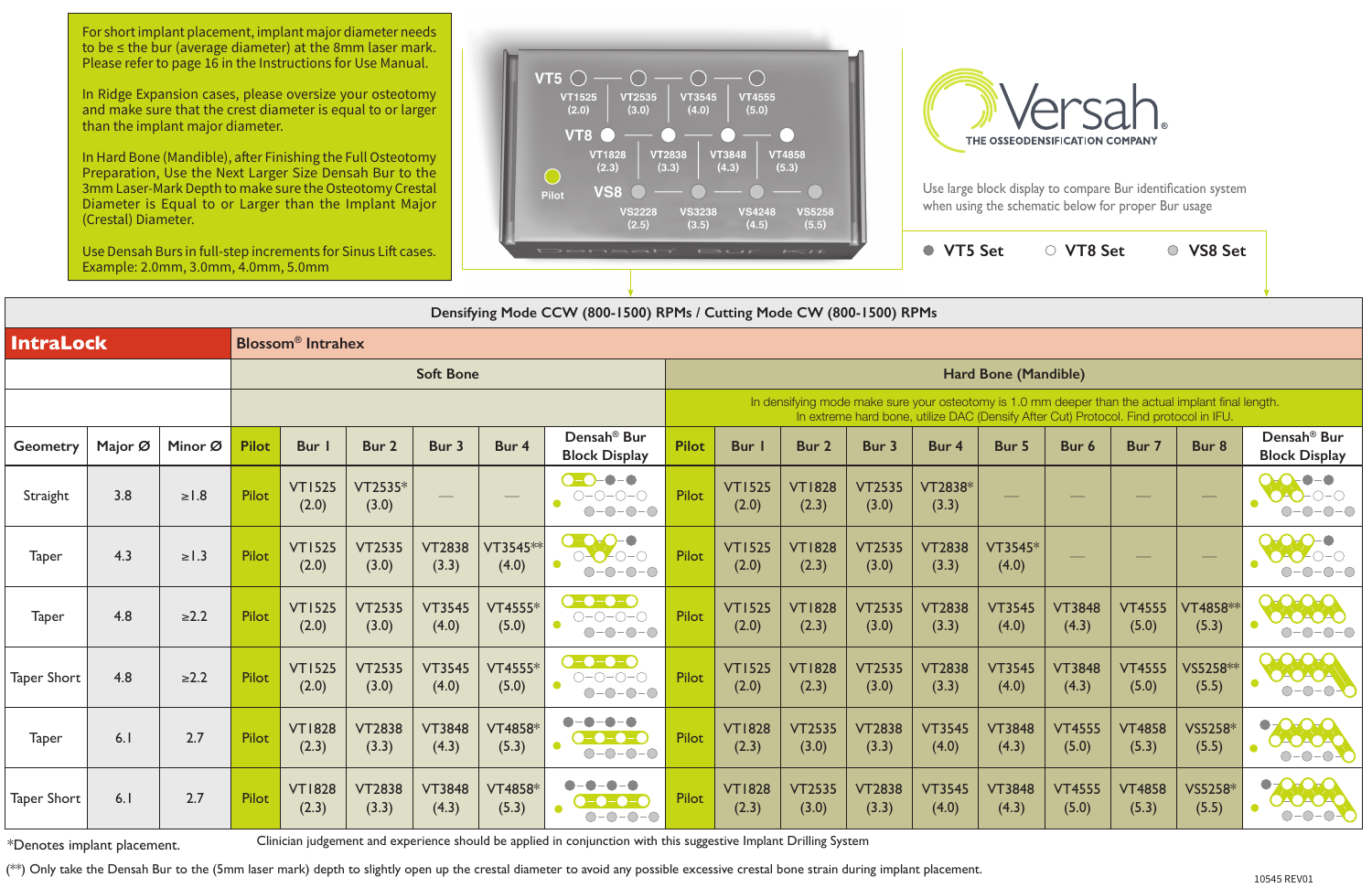**VT5 Set VT8 Set VS8 Set**

| Densifying Mode CCW (800-1500) RPMs / Cutting Mode CW (800-1500) RPMs |                                                         |            |              |                        |                        |                        |                                             |                                                                                                                                                      |                                                                                                                                                                                             |                        |                        |                        |                        |                        |                        |                        |                   |                                                               |  |  |
|-----------------------------------------------------------------------|---------------------------------------------------------|------------|--------------|------------------------|------------------------|------------------------|---------------------------------------------|------------------------------------------------------------------------------------------------------------------------------------------------------|---------------------------------------------------------------------------------------------------------------------------------------------------------------------------------------------|------------------------|------------------------|------------------------|------------------------|------------------------|------------------------|------------------------|-------------------|---------------------------------------------------------------|--|--|
|                                                                       | <b>IntraLock</b><br><b>Blossom<sup>®</sup></b> Intrahex |            |              |                        |                        |                        |                                             |                                                                                                                                                      |                                                                                                                                                                                             |                        |                        |                        |                        |                        |                        |                        |                   |                                                               |  |  |
|                                                                       |                                                         |            |              |                        |                        | <b>Soft Bone</b>       |                                             |                                                                                                                                                      | Hard Bone (Mandible)                                                                                                                                                                        |                        |                        |                        |                        |                        |                        |                        |                   |                                                               |  |  |
|                                                                       |                                                         |            |              |                        |                        |                        |                                             |                                                                                                                                                      | In densifying mode make sure your osteotomy is 1.0 mm deeper than the actual implant final length.<br>In extreme hard bone, utilize DAC (Densify After Cut) Protocol. Find protocol in IFU. |                        |                        |                        |                        |                        |                        |                        |                   |                                                               |  |  |
| Geometry                                                              | Major Ø                                                 | Minor Ø    | <b>Pilot</b> | <b>Bur</b>             | Bur 2                  | Bur 3                  | Bur 4                                       | Densah <sup>®</sup> Bur<br><b>Block Display</b>                                                                                                      | <b>Pilot</b>                                                                                                                                                                                | <b>Bur</b> I           | Bur 2                  | Bur 3                  | Bur 4                  | Bur 5                  | Bur 6                  | Bur 7                  | Bur 8             | Densah <sup>®</sup> Bur<br><b>Block Display</b>               |  |  |
| Straight                                                              | 3.8                                                     | $\geq$ 1.8 | Pilot        | <b>VT1525</b><br>(2.0) | VT2535*<br>(3.0)       |                        | $\hspace{1.0cm} \overbrace{\hspace{1.0cm}}$ | $O-O$ -0-0<br>$O-O-O-O$<br>$O-O-O-O$                                                                                                                 | Pilot                                                                                                                                                                                       | <b>VT1525</b><br>(2.0) | <b>VT1828</b><br>(2.3) | <b>VT2535</b><br>(3.0) | VT2838*<br>(3.3)       |                        |                        |                        | $\hspace{0.05cm}$ | $ \bigcirc$ $ \bigcirc$                                       |  |  |
| <b>Taper</b>                                                          | 4.3                                                     | $\geq$ 1.3 | <b>Pilot</b> | <b>VT1525</b><br>(2.0) | <b>VT2535</b><br>(3.0) | <b>VT2838</b><br>(3.3) | $VT3545**$<br>(4.0)                         | $\bullet$ -O-O-<br>-0<br>$O-O-O-O$<br>$-O$ - $O$<br>$ \bigcirc$ -                                                                                    | Pilot                                                                                                                                                                                       | <b>VT1525</b><br>(2.0) | <b>VT1828</b><br>(2.3) | <b>VT2535</b><br>(3.0) | <b>VT2838</b><br>(3.3) | VT3545*<br>(4.0)       |                        |                        |                   | $\cap$ $\cap$                                                 |  |  |
| <b>Taper</b>                                                          | 4.8                                                     | $\geq 2.2$ | <b>Pilot</b> | <b>VT1525</b><br>(2.0) | <b>VT2535</b><br>(3.0) | <b>VT3545</b><br>(4.0) | <b>VT4555*</b><br>(5.0)                     | $\bullet$ - $\bullet$ - $\bullet$<br>$O-O-O-O$<br>$\bullet$<br>$O-O-O-O$                                                                             | Pilot                                                                                                                                                                                       | <b>VT1525</b><br>(2.0) | <b>VT1828</b><br>(2.3) | <b>VT2535</b><br>(3.0) | <b>VT2838</b><br>(3.3) | <b>VT3545</b><br>(4.0) | <b>VT3848</b><br>(4.3) | <b>VT4555</b><br>(5.0) | VT4858**<br>(5.3) | DEOFOT<br><b>DADADAO</b><br>$O-O-O$                           |  |  |
| <b>Taper Short</b>                                                    | 4.8                                                     | $\geq$ 2.2 | Pilot        | <b>VT1525</b><br>(2.0) | <b>VT2535</b><br>(3.0) | <b>VT3545</b><br>(4.0) | $VT4555*$<br>(5.0)                          | $\bullet$ - $\bullet$ - $\bullet$ - $\bullet$<br>$\bigcirc\negmedspace-\bigcirc\negmedspace-\bigcirc\negmedspace-\bigcirc$<br>$\bullet$<br>$O-O-O-O$ | Pilot                                                                                                                                                                                       | <b>VT1525</b><br>(2.0) | <b>VT1828</b><br>(2.3) | <b>VT2535</b><br>(3.0) | <b>VT2838</b><br>(3.3) | <b>VT3545</b><br>(4.0) | <b>VT3848</b><br>(4.3) | <b>VT4555</b><br>(5.0) | VS5258**<br>(5.5) | <b>OOOA</b><br>$O-O-O-O$                                      |  |  |
| Taper                                                                 | 6.1                                                     | 2.7        | Pilot        | <b>VT1828</b><br>(2.3) | <b>VT2838</b><br>(3.3) | <b>VT3848</b><br>(4.3) | VT4858*<br>(5.3)                            | $\bullet-\bullet$<br>$-\bullet-\bullet$<br>$\bullet$ - $\bullet$ - $\bullet$ - $\bullet$<br>$O-O-O-O$                                                | Pilot                                                                                                                                                                                       | <b>VT1828</b><br>(2.3) | <b>VT2535</b><br>(3.0) | <b>VT2838</b><br>(3.3) | <b>VT3545</b><br>(4.0) | <b>VT3848</b><br>(4.3) | <b>VT4555</b><br>(5.0) | <b>VT4858</b><br>(5.3) | VS5258*<br>(5.5)  | $\bullet$<br><b>OACACAC</b><br>$-O$ - $O$ - $O$<br>$\bigcirc$ |  |  |
| Taper Short                                                           | 6.1                                                     | 2.7        | Pilot        | <b>VT1828</b><br>(2.3) | <b>VT2838</b><br>(3.3) | <b>VT3848</b><br>(4.3) | <b>VT4858*</b><br>(5.3)                     | $  \bullet$<br>$-\bullet$ :<br>$\blacksquare$ -<br>D-0-0-0<br>$-0-0-0$<br>$\bigcirc$                                                                 | Pilot                                                                                                                                                                                       | <b>VT1828</b><br>(2.3) | <b>VT2535</b><br>(3.0) | <b>VT2838</b><br>(3.3) | <b>VT3545</b><br>(4.0) | <b>VT3848</b><br>(4.3) | <b>VT4555</b><br>(5.0) | <b>VT4858</b><br>(5.3) | VS5258*<br>(5.5)  | $\bullet$ Ora<br>DAOAOA<br>$\bigcap$<br><b>D-0-</b>           |  |  |

\*Denotes implant placement. Clinician judgement and experience should be applied in conjunction with this suggestive Implant Drilling System

(\*\*) Only take the Densah Bur to the (5mm laser mark) depth to slightly open up the crestal diameter to avoid any possible excessive crestal bone strain during implant placement.



Use large block display to compare Bur identification system when using the schematic below for proper Bur usage

For short implant placement, implant major diameter needs to be ≤ the bur (average diameter) at the 8mm laser mark. Please refer to page 16 in the Instructions for Use Manual.

In Ridge Expansion cases, please oversize your osteotomy and make sure that the crest diameter is equal to or larger than the implant major diameter.

In Hard Bone (Mandible), after Finishing the Full Osteotomy Preparation, Use the Next Larger Size Densah Bur to the 3mm Laser-Mark Depth to make sure the Osteotomy Crestal Diameter is Equal to or Larger than the Implant Major (Crestal) Diameter.

Use Densah Burs in full-step increments for Sinus Lift cases. Example: 2.0mm, 3.0mm, 4.0mm, 5.0mm